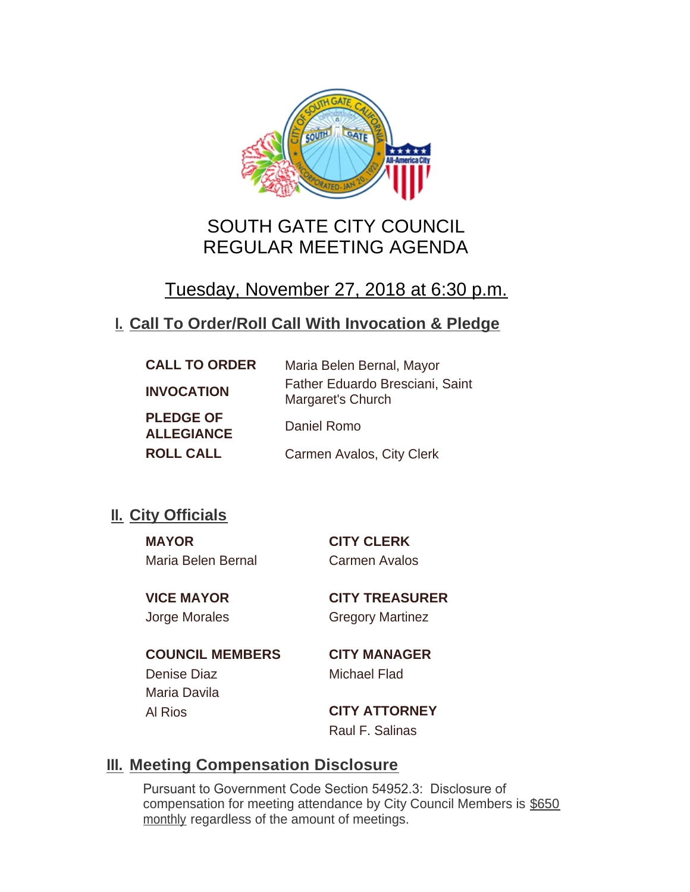

# SOUTH GATE CITY COUNCIL REGULAR MEETING AGENDA

# Tuesday, November 27, 2018 at 6:30 p.m.

# **Call To Order/Roll Call With Invocation & Pledge I.**

| <b>CALL TO ORDER</b>                  | Maria Belen Bernal, Mayor                            |
|---------------------------------------|------------------------------------------------------|
| <b>INVOCATION</b>                     | Father Eduardo Bresciani, Saint<br>Margaret's Church |
| <b>PLEDGE OF</b><br><b>ALLEGIANCE</b> | Daniel Romo                                          |
| <b>ROLL CALL</b>                      | Carmen Avalos, City Clerk                            |

# **II.** City Officials

**MAYOR CITY CLERK** Maria Belen Bernal Carmen Avalos

**VICE MAYOR CITY TREASURER** Jorge Morales Gregory Martinez

**COUNCIL MEMBERS CITY MANAGER** Denise Diaz Michael Flad Maria Davila Al Rios **CITY ATTORNEY**

Raul F. Salinas

# **Meeting Compensation Disclosure III.**

Pursuant to Government Code Section 54952.3: Disclosure of compensation for meeting attendance by City Council Members is \$650 monthly regardless of the amount of meetings.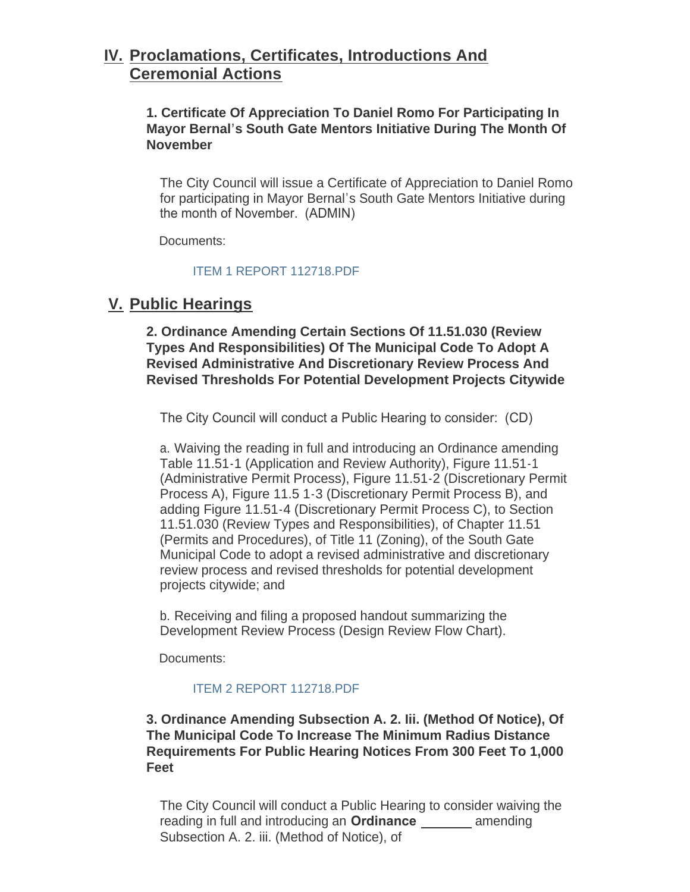# **Proclamations, Certificates, Introductions And IV. Ceremonial Actions**

**1. Certificate Of Appreciation To Daniel Romo For Participating In Mayor Bernal's South Gate Mentors Initiative During The Month Of November**

The City Council will issue a Certificate of Appreciation to Daniel Romo for participating in Mayor Bernal's South Gate Mentors Initiative during the month of November. (ADMIN)

Documents:

[ITEM 1 REPORT 112718.PDF](http://www.cityofsouthgate.org/AgendaCenter/ViewFile/Item/6701?fileID=14332)

# **Public Hearings V.**

**2. Ordinance Amending Certain Sections Of 11.51.030 (Review Types And Responsibilities) Of The Municipal Code To Adopt A Revised Administrative And Discretionary Review Process And Revised Thresholds For Potential Development Projects Citywide**

The City Council will conduct a Public Hearing to consider: (CD)

a. Waiving the reading in full and introducing an Ordinance amending Table 11.51-1 (Application and Review Authority), Figure 11.51-1 (Administrative Permit Process), Figure 11.51-2 (Discretionary Permit Process A), Figure 11.5 1-3 (Discretionary Permit Process B), and adding Figure 11.51-4 (Discretionary Permit Process C), to Section 11.51.030 (Review Types and Responsibilities), of Chapter 11.51 (Permits and Procedures), of Title 11 (Zoning), of the South Gate Municipal Code to adopt a revised administrative and discretionary review process and revised thresholds for potential development projects citywide; and

b. Receiving and filing a proposed handout summarizing the Development Review Process (Design Review Flow Chart).

Documents:

## [ITEM 2 REPORT 112718.PDF](http://www.cityofsouthgate.org/AgendaCenter/ViewFile/Item/6702?fileID=14333)

**3. Ordinance Amending Subsection A. 2. Iii. (Method Of Notice), Of The Municipal Code To Increase The Minimum Radius Distance Requirements For Public Hearing Notices From 300 Feet To 1,000 Feet**

The City Council will conduct a Public Hearing to consider waiving the reading in full and introducing an **Ordinance** amending Subsection A. 2. iii. (Method of Notice), of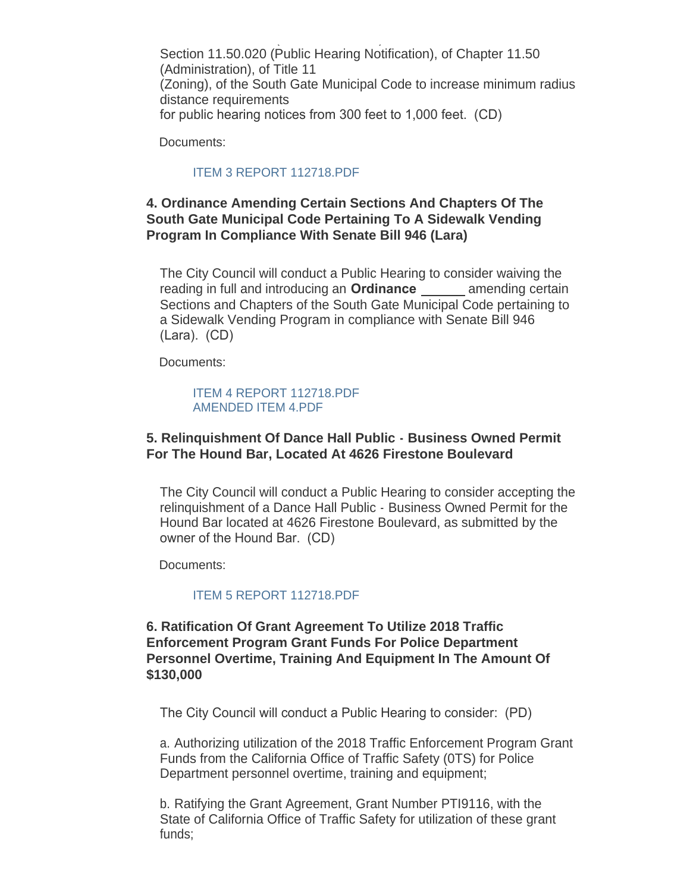Subsection A. 2. iii. (Method of Notice), of Section 11.50.020 (Public Hearing Notification), of Chapter 11.50 (Administration), of Title 11 (Zoning), of the South Gate Municipal Code to increase minimum radius distance requirements for public hearing notices from 300 feet to 1,000 feet. (CD)

Documents:

#### [ITEM 3 REPORT 112718.PDF](http://www.cityofsouthgate.org/AgendaCenter/ViewFile/Item/6703?fileID=14334)

## **4. Ordinance Amending Certain Sections And Chapters Of The South Gate Municipal Code Pertaining To A Sidewalk Vending Program In Compliance With Senate Bill 946 (Lara)**

The City Council will conduct a Public Hearing to consider waiving the reading in full and introducing an **Ordinance** amending certain Sections and Chapters of the South Gate Municipal Code pertaining to a Sidewalk Vending Program in compliance with Senate Bill 946 (Lara). (CD)

Documents:

#### [ITEM 4 REPORT 112718.PDF](http://www.cityofsouthgate.org/AgendaCenter/ViewFile/Item/6718?fileID=14348) [AMENDED ITEM 4.PDF](http://www.cityofsouthgate.org/AgendaCenter/ViewFile/Item/6718?fileID=14443)

## **5. Relinquishment Of Dance Hall Public - Business Owned Permit For The Hound Bar, Located At 4626 Firestone Boulevard**

The City Council will conduct a Public Hearing to consider accepting the relinquishment of a Dance Hall Public - Business Owned Permit for the Hound Bar located at 4626 Firestone Boulevard, as submitted by the owner of the Hound Bar. (CD)

Documents:

#### [ITEM 5 REPORT 112718.PDF](http://www.cityofsouthgate.org/AgendaCenter/ViewFile/Item/6704?fileID=14347)

#### **6. Ratification Of Grant Agreement To Utilize 2018 Traffic Enforcement Program Grant Funds For Police Department Personnel Overtime, Training And Equipment In The Amount Of \$130,000**

The City Council will conduct a Public Hearing to consider: (PD)

a. Authorizing utilization of the 2018 Traffic Enforcement Program Grant Funds from the California Office of Traffic Safety (0TS) for Police Department personnel overtime, training and equipment;

b. Ratifying the Grant Agreement, Grant Number PTI9116, with the State of California Office of Traffic Safety for utilization of these grant funds;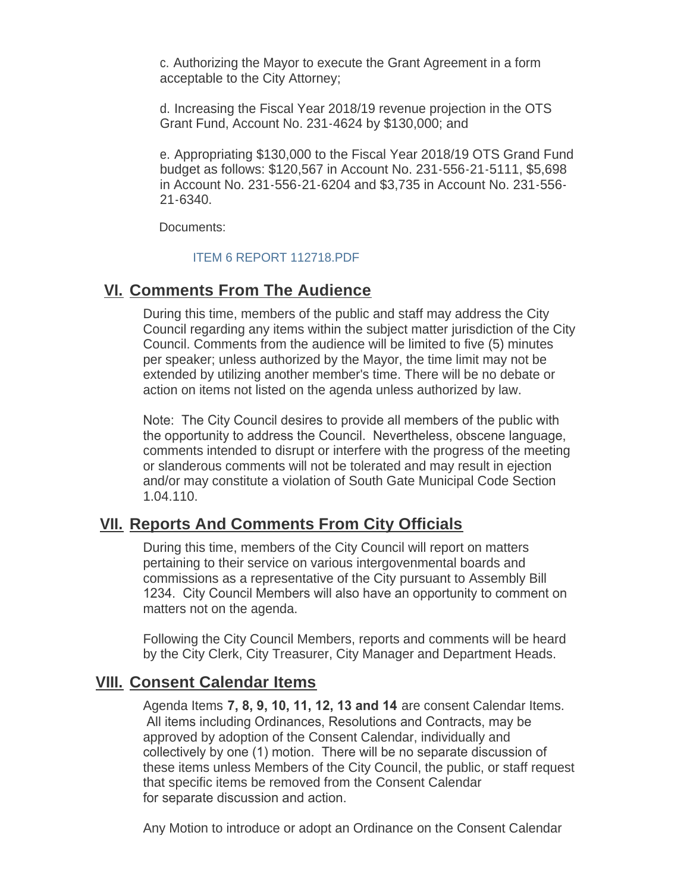c. Authorizing the Mayor to execute the Grant Agreement in a form acceptable to the City Attorney;

d. Increasing the Fiscal Year 2018/19 revenue projection in the OTS Grant Fund, Account No. 231-4624 by \$130,000; and

e. Appropriating \$130,000 to the Fiscal Year 2018/19 OTS Grand Fund budget as follows: \$120,567 in Account No. 231-556-21-5111, \$5,698 in Account No. 231-556-21-6204 and \$3,735 in Account No. 231-556- 21-6340.

Documents:

## [ITEM 6 REPORT 112718.PDF](http://www.cityofsouthgate.org/AgendaCenter/ViewFile/Item/6705?fileID=14336)

# **<u>VI. Comments From The Audience</u>**

During this time, members of the public and staff may address the City Council regarding any items within the subject matter jurisdiction of the City Council. Comments from the audience will be limited to five (5) minutes per speaker; unless authorized by the Mayor, the time limit may not be extended by utilizing another member's time. There will be no debate or action on items not listed on the agenda unless authorized by law.

Note: The City Council desires to provide all members of the public with the opportunity to address the Council. Nevertheless, obscene language, comments intended to disrupt or interfere with the progress of the meeting or slanderous comments will not be tolerated and may result in ejection and/or may constitute a violation of South Gate Municipal Code Section 1.04.110.

# **<u>VII. Reports And Comments From City Officials</u>**

During this time, members of the City Council will report on matters pertaining to their service on various intergovenmental boards and commissions as a representative of the City pursuant to Assembly Bill 1234. City Council Members will also have an opportunity to comment on matters not on the agenda.

Following the City Council Members, reports and comments will be heard by the City Clerk, City Treasurer, City Manager and Department Heads.

# **Consent Calendar Items VIII.**

Agenda Items **7, 8, 9, 10, 11, 12, 13 and 14** are consent Calendar Items. All items including Ordinances, Resolutions and Contracts, may be approved by adoption of the Consent Calendar, individually and collectively by one (1) motion. There will be no separate discussion of these items unless Members of the City Council, the public, or staff request that specific items be removed from the Consent Calendar for separate discussion and action.

Any Motion to introduce or adopt an Ordinance on the Consent Calendar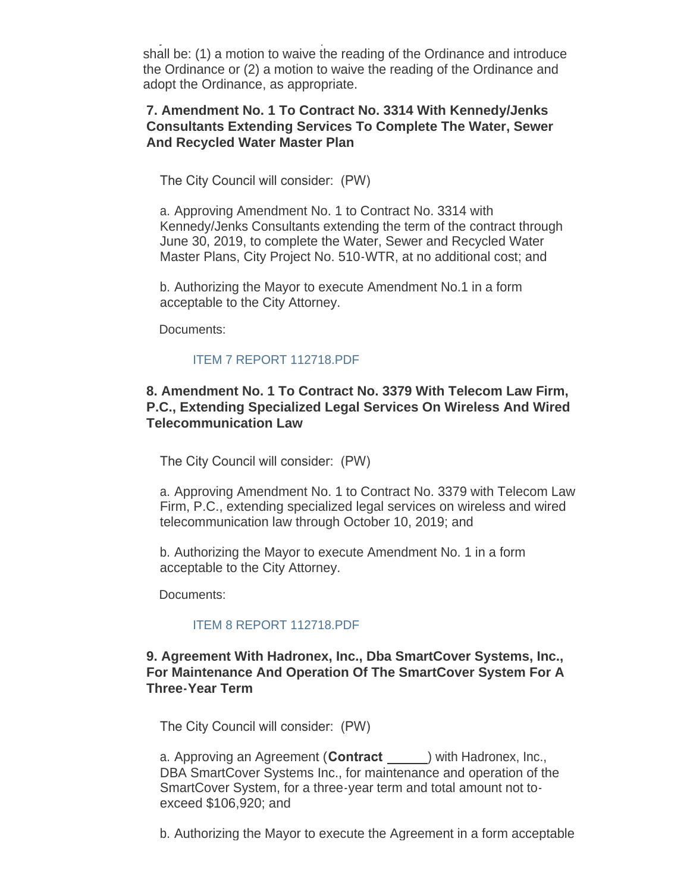$A_{\rm eff}$  Motion to introduce or adopt an  $\mathcal{A}_{\rm eff}$  and  $\mathcal{A}_{\rm eff}$  and  $\mathcal{A}_{\rm eff}$ shall be: (1) a motion to waive the reading of the Ordinance and introduce the Ordinance or (2) a motion to waive the reading of the Ordinance and adopt the Ordinance, as appropriate.

## **7. Amendment No. 1 To Contract No. 3314 With Kennedy/Jenks Consultants Extending Services To Complete The Water, Sewer And Recycled Water Master Plan**

The City Council will consider: (PW)

a. Approving Amendment No. 1 to Contract No. 3314 with Kennedy/Jenks Consultants extending the term of the contract through June 30, 2019, to complete the Water, Sewer and Recycled Water Master Plans, City Project No. 510-WTR, at no additional cost; and

b. Authorizing the Mayor to execute Amendment No.1 in a form acceptable to the City Attorney.

Documents:

## [ITEM 7 REPORT 112718.PDF](http://www.cityofsouthgate.org/AgendaCenter/ViewFile/Item/6706?fileID=14337)

## **8. Amendment No. 1 To Contract No. 3379 With Telecom Law Firm, P.C., Extending Specialized Legal Services On Wireless And Wired Telecommunication Law**

The City Council will consider: (PW)

a. Approving Amendment No. 1 to Contract No. 3379 with Telecom Law Firm, P.C., extending specialized legal services on wireless and wired telecommunication law through October 10, 2019; and

b. Authorizing the Mayor to execute Amendment No. 1 in a form acceptable to the City Attorney.

Documents:

## [ITEM 8 REPORT 112718.PDF](http://www.cityofsouthgate.org/AgendaCenter/ViewFile/Item/6707?fileID=14338)

## **9. Agreement With Hadronex, Inc., Dba SmartCover Systems, Inc., For Maintenance And Operation Of The SmartCover System For A Three-Year Term**

The City Council will consider: (PW)

a. Approving an Agreement (**Contract** ) with Hadronex, Inc., DBA SmartCover Systems Inc., for maintenance and operation of the SmartCover System, for a three-year term and total amount not toexceed \$106,920; and

b. Authorizing the Mayor to execute the Agreement in a form acceptable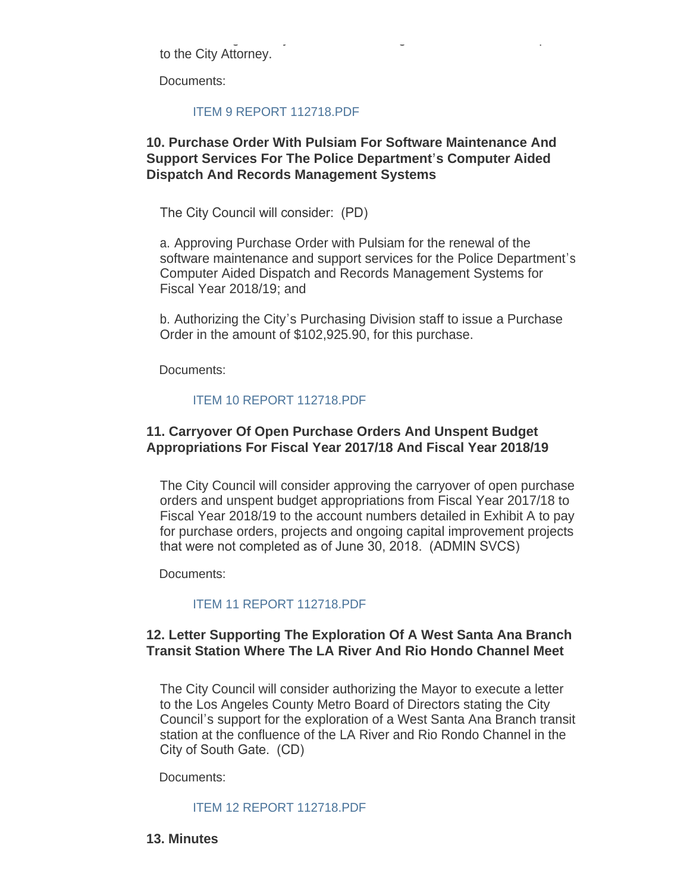b. Authorizing the Mayor to execute the Agreement in a form acceptable to the City Attorney.

Documents:

#### [ITEM 9 REPORT 112718.PDF](http://www.cityofsouthgate.org/AgendaCenter/ViewFile/Item/6708?fileID=14339)

## **10. Purchase Order With Pulsiam For Software Maintenance And Support Services For The Police Department's Computer Aided Dispatch And Records Management Systems**

The City Council will consider: (PD)

a. Approving Purchase Order with Pulsiam for the renewal of the software maintenance and support services for the Police Department's Computer Aided Dispatch and Records Management Systems for Fiscal Year 2018/19; and

b. Authorizing the City's Purchasing Division staff to issue a Purchase Order in the amount of \$102,925.90, for this purchase.

Documents:

#### [ITEM 10 REPORT 112718.PDF](http://www.cityofsouthgate.org/AgendaCenter/ViewFile/Item/6709?fileID=14340)

## **11. Carryover Of Open Purchase Orders And Unspent Budget Appropriations For Fiscal Year 2017/18 And Fiscal Year 2018/19**

The City Council will consider approving the carryover of open purchase orders and unspent budget appropriations from Fiscal Year 2017/18 to Fiscal Year 2018/19 to the account numbers detailed in Exhibit A to pay for purchase orders, projects and ongoing capital improvement projects that were not completed as of June 30, 2018. (ADMIN SVCS)

Documents:

## [ITEM 11 REPORT 112718.PDF](http://www.cityofsouthgate.org/AgendaCenter/ViewFile/Item/6710?fileID=14341)

## **12. Letter Supporting The Exploration Of A West Santa Ana Branch Transit Station Where The LA River And Rio Hondo Channel Meet**

The City Council will consider authorizing the Mayor to execute a letter to the Los Angeles County Metro Board of Directors stating the City Council's support for the exploration of a West Santa Ana Branch transit station at the confluence of the LA River and Rio Rondo Channel in the City of South Gate. (CD)

Documents:

#### [ITEM 12 REPORT 112718.PDF](http://www.cityofsouthgate.org/AgendaCenter/ViewFile/Item/6711?fileID=14342)

#### **13. Minutes**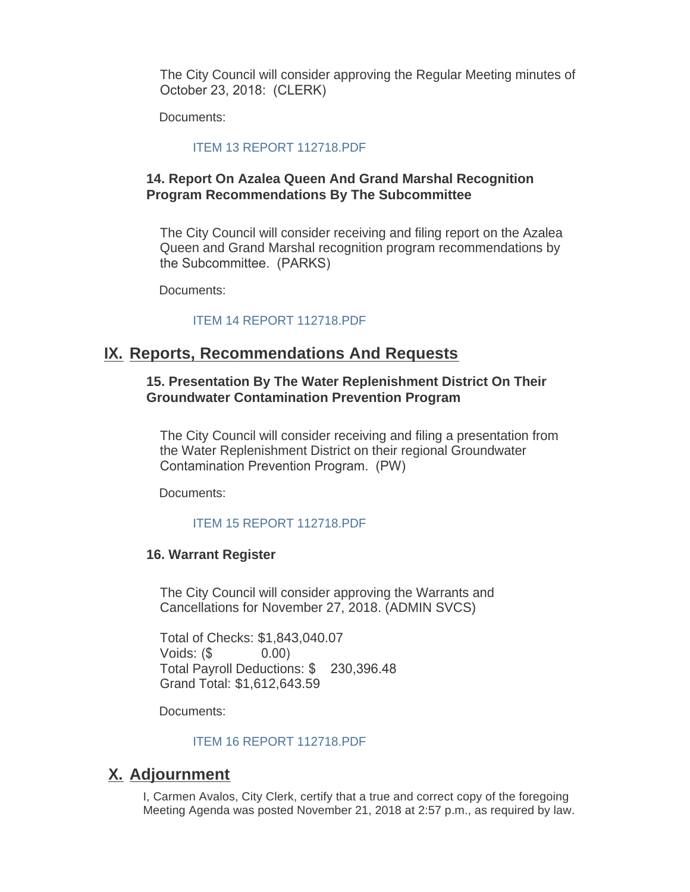The City Council will consider approving the Regular Meeting minutes of October 23, 2018: (CLERK)

Documents:

#### [ITEM 13 REPORT 112718.PDF](http://www.cityofsouthgate.org/AgendaCenter/ViewFile/Item/6712?fileID=14343)

#### **14. Report On Azalea Queen And Grand Marshal Recognition Program Recommendations By The Subcommittee**

The City Council will consider receiving and filing report on the Azalea Queen and Grand Marshal recognition program recommendations by the Subcommittee. (PARKS)

Documents:

#### [ITEM 14 REPORT 112718.PDF](http://www.cityofsouthgate.org/AgendaCenter/ViewFile/Item/6713?fileID=14344)

# **IX. Reports, Recommendations And Requests**

#### **15. Presentation By The Water Replenishment District On Their Groundwater Contamination Prevention Program**

The City Council will consider receiving and filing a presentation from the Water Replenishment District on their regional Groundwater Contamination Prevention Program. (PW)

Documents:

#### [ITEM 15 REPORT 112718.PDF](http://www.cityofsouthgate.org/AgendaCenter/ViewFile/Item/6714?fileID=14345)

#### **16. Warrant Register**

The City Council will consider approving the Warrants and Cancellations for November 27, 2018. (ADMIN SVCS)

Total of Checks: \$1,843,040.07 Voids: (\$ 0.00) Total Payroll Deductions: \$ 230,396.48 Grand Total: \$1,612,643.59

Documents:

#### [ITEM 16 REPORT 112718.PDF](http://www.cityofsouthgate.org/AgendaCenter/ViewFile/Item/6715?fileID=14346)

# **Adjournment X.**

I, Carmen Avalos, City Clerk, certify that a true and correct copy of the foregoing Meeting Agenda was posted November 21, 2018 at 2:57 p.m., as required by law.